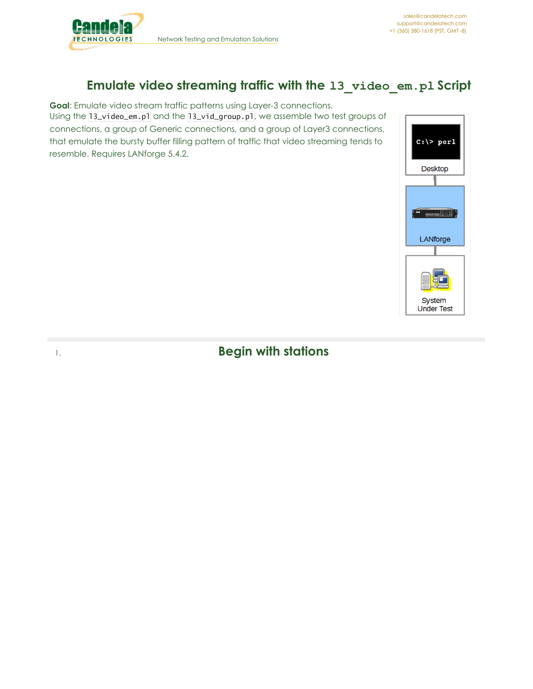

# **Emulate video streaming traffic with the l3\_video\_em.pl Script**

**Goal**: Emulate video stream traffic patterns using Layer-3 connections. Using the l3\_video\_em.pl and the l3\_vid\_group.pl, we assemble two test groups of connections, a group of Generic connections, and a group of Layer3 connections, that emulate the bursty buffer filling pattern of traffic that video streaming tends to resemble. Requires LANforge 5.4.2.



# 1. **Begin with stations**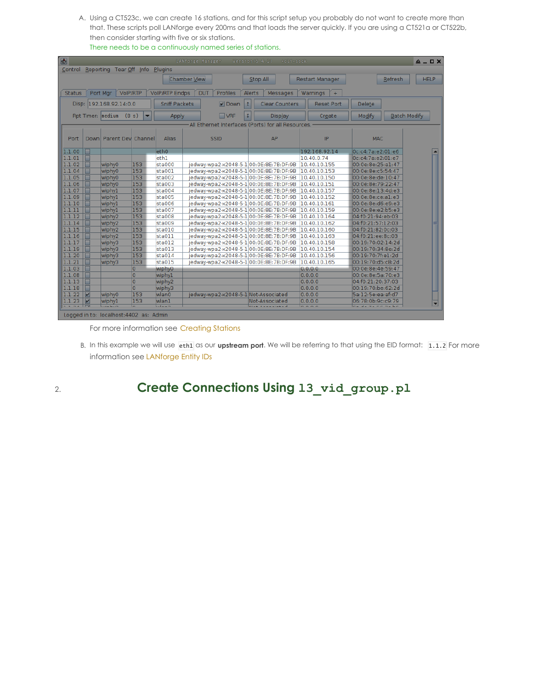A. Using a CT523c, we can create 16 stations, and for this script setup you probably do not want to create more than that. These scripts poll LANforge every 200ms and that loads the server quickly. If you are using a CT521a or CT522b, then consider starting with five or six stations. There needs to be a continuously named series of stations.

| Ð             | <b>LANforge Manager</b><br>Version(5.4.2)<br>$A = \square X$<br>+cli-sock                                               |                                         |                |                      |                     |                                      |              |                                                     |                          |                        |                   |         |                     |   |
|---------------|-------------------------------------------------------------------------------------------------------------------------|-----------------------------------------|----------------|----------------------|---------------------|--------------------------------------|--------------|-----------------------------------------------------|--------------------------|------------------------|-------------------|---------|---------------------|---|
| Control       |                                                                                                                         | Reporting Tear Off Info Plugins         |                |                      |                     |                                      |              |                                                     |                          |                        |                   |         |                     |   |
|               |                                                                                                                         |                                         |                |                      | <b>Chamber View</b> |                                      |              | Stop All                                            |                          | <b>Restart Manager</b> |                   | Refresh | <b>HELP</b>         |   |
|               |                                                                                                                         |                                         |                |                      |                     |                                      |              |                                                     |                          |                        |                   |         |                     |   |
| <b>Status</b> | Port Mgr<br>VolP/RTP<br><b>VolP/RTP Endps</b><br><b>DUT</b><br><b>Profiles</b><br>Alerts<br>Messages<br>Warnings<br>$+$ |                                         |                |                      |                     |                                      |              |                                                     |                          |                        |                   |         |                     |   |
|               |                                                                                                                         | Disp: 192.168.92.14:0.0                 |                | <b>Sniff Packets</b> |                     | $V$ Down                             | $\mathbf{r}$ | <b>Clear Counters</b>                               |                          | <b>Reset Port</b>      | Delete            |         |                     |   |
|               |                                                                                                                         |                                         |                |                      |                     |                                      |              |                                                     |                          |                        |                   |         |                     |   |
|               |                                                                                                                         | Rpt Timer: medium<br>(8 s)              |                | Apply                |                     | $\Box$ VRF                           |              | <b>Display</b>                                      |                          | Create                 | Modify            |         | <b>Batch Modify</b> |   |
|               |                                                                                                                         |                                         |                |                      |                     |                                      |              | -All Ethernet Interfaces (Ports) for all Resources. |                          |                        |                   |         |                     |   |
|               |                                                                                                                         |                                         |                |                      |                     |                                      |              |                                                     |                          |                        |                   |         |                     |   |
| Port          |                                                                                                                         | Down Parent Dev Channel                 |                | <b>Alias</b>         |                     | <b>SSID</b>                          |              | AP                                                  |                          | IP                     | <b>MAC</b>        |         |                     |   |
|               |                                                                                                                         |                                         |                |                      |                     |                                      |              |                                                     |                          |                        |                   |         |                     |   |
| 1.1.00        |                                                                                                                         |                                         |                | eth <sub>0</sub>     |                     |                                      |              |                                                     |                          | 192.168.92.14          | Oc:c4:7a:e2:01:e6 |         |                     |   |
| 1.1.01        |                                                                                                                         |                                         |                | ethl                 |                     |                                      |              |                                                     |                          | 10.40.0.74             | Oc:c4:7a:e2:01:e7 |         |                     |   |
| 1.1.02        |                                                                                                                         | wiphy0                                  | 153            | sta000               |                     |                                      |              | jedway-wpa2-x2048-5-1 00:0E:8E:7B:DF:9B             |                          | 10.40.10.155           | 00:0e:8e:25:a1:47 |         |                     |   |
| 1.1.04        |                                                                                                                         | wiphy0                                  | 153            | sta001               |                     |                                      |              | jedway-wpa2-x2048-5-1 00:0E:8E:7B:DF:9B             |                          | 10.40.10.153           | 00:0e:8e:c5:54:47 |         |                     |   |
| 1.1.05        |                                                                                                                         | wiphy0                                  | 153            | sta002               |                     |                                      |              | jedway-wpa2-x2048-5-1 00:0E:8E:7B:DF:9B             |                          | 10.40.10.150           | 00:0e:8e:de:10:47 |         |                     |   |
| 1.1.06        |                                                                                                                         | wiphy0                                  | 153            | sta003               |                     |                                      |              | jedway-wpa2-x2048-5-1 00:0E:8E:7B:DF:9B             |                          | 10.40.10.151           | 00:0e:8e:79:22:47 |         |                     |   |
| 1.1.07        |                                                                                                                         | wiphyl                                  | 153            | sta004               |                     |                                      |              | jedway-wpa2-x2048-5-1 00:0E:8E:7B:DF:9B             |                          | 10.40.10.157           | 00:0e:8e:13:4d:e3 |         |                     |   |
| 1.1.09        |                                                                                                                         | wiphyl                                  | 153            | sta005               |                     |                                      |              | jedway-wpa2-x2048-5-1 00:0E:8E:7B:DF:9B             |                          | 10.40.10.152           | 00:0e:8e:ce:al:e3 |         |                     |   |
| 1.1.10        |                                                                                                                         | wiphyl                                  | 153            | sta006               |                     |                                      |              | iedway-wpa2-x2048-5-1 00:0E:8E:7B:DF:9B             |                          | 10.40.10.161           | 00:0e:8e:d6:e9:e3 |         |                     |   |
| 1.1.11        |                                                                                                                         | wiphyl                                  | 153            | sta007               |                     |                                      |              | iedway-wpa2-x2048-5-1 00:0E:8E:7B:DF:9B             |                          | 10.40.10.159           | 00:0e:8e:e2:b5:e3 |         |                     |   |
| 1.1.12        |                                                                                                                         | wiphy <sub>2</sub>                      | 153            | sta008               |                     |                                      |              | iedway-wpa2-x2048-5-1 00:0E:8E:7B:DF:9B             |                          | 10.40.10.164           | 04:f0:21:94:eb:03 |         |                     |   |
| 1.1.14        |                                                                                                                         | wiphy <sub>2</sub>                      | 153            | sta009               |                     |                                      |              | iedway-wpa2-x2048-5-1 00:0E:8E:7B:DF:9B             |                          | 10.40.10.162           | 04:f0:21:57:12:03 |         |                     |   |
| 1.1.15        |                                                                                                                         | wiphy <sub>2</sub>                      | 153            | sta010               |                     |                                      |              | jedway-wpa2-x2048-5-1 00:0E:8E:7B:DF:9B             |                          | 10.40.10.160           | 04:f0:21:82:0c:03 |         |                     |   |
| 1.1.16        |                                                                                                                         | wiphy <sub>2</sub>                      | 153            | sta011               |                     |                                      |              | iedway-wpa2-x2048-5-1 00:0E:8E:7B:DF:9B             |                          | 10.40.10.163           | 04:f0:21:ee:8c:03 |         |                     |   |
| 1.1.17        |                                                                                                                         | wiphy3                                  | 153            | sta012               |                     |                                      |              | jedway-wpa2-x2048-5-1 00:0E:8E:7B:DF:9B             |                          | 10.40.10.158           | 00:19:70:02:14:2d |         |                     |   |
| 1.1.19        |                                                                                                                         | wiphy3                                  | 153            | sta013               |                     |                                      |              | jedway-wpa2-x2048-5-1 00:0E:8E:7B:DF:9B             |                          | 10.40.10.154           | 00:19:70:34:8e:2d |         |                     |   |
| 1.1.20        |                                                                                                                         | wiphy3                                  | 153            | sta014               |                     |                                      |              | jedway-wpa2-x2048-5-1 00:0E:8E:7B:DF:9B             |                          | 10.40.10.156           | 00:19:70:7f:e1:2d |         |                     |   |
| 1.1.21        |                                                                                                                         | wiphy3                                  | 153            | sta015               |                     |                                      |              | jedway-wpa2-x2048-5-1 00:0E:8E:7B:DF:9B             |                          | 10.40.10.165           | 00:19:70:d5:c8:2d |         |                     |   |
| 1.1.03        |                                                                                                                         |                                         | O              | wiphy0               |                     |                                      |              |                                                     | 0, 0, 0, 0               |                        | 00:0e:8e:4e:59:47 |         |                     |   |
| 1.1.08        |                                                                                                                         |                                         | O              | wiphy1               |                     |                                      |              |                                                     | 0.0.0.0                  |                        | 00:0e:8e:5a:70:e3 |         |                     |   |
| 1.1.13        |                                                                                                                         |                                         | $\overline{0}$ | wiphy <sub>2</sub>   |                     |                                      |              |                                                     | 0.0.0.0                  |                        | 04:f0:21:20:37:03 |         |                     |   |
| 1.1.18        |                                                                                                                         |                                         | $\overline{0}$ | wiphy3               |                     |                                      |              |                                                     | 0.0.0.0                  |                        | 00:19:70:be:62:2d |         |                     |   |
| 1.1.22        | $\overline{\mathbf{v}}$                                                                                                 | wiphy0                                  | 153            | wlan0                |                     | jedway-wpa2-x2048-5-1 Not-Associated |              |                                                     | 0.0.0.0                  |                        | 5a:12:5e:ea:af:d7 |         |                     |   |
| 1.1.23        | $\overline{\mathbf{v}}$                                                                                                 | wiphyl                                  | 153            | wlan1                |                     |                                      |              | Not-Associated                                      | 0.0.0.0                  |                        | 06:78:0b:9c:c9:79 |         |                     | × |
|               |                                                                                                                         |                                         |                | $-1 - -2$            |                     |                                      |              |                                                     | $\overline{\phantom{a}}$ |                        |                   |         |                     |   |
|               |                                                                                                                         | Logged in to: localbost: 4402 as: Admin |                |                      |                     |                                      |              |                                                     |                          |                        |                   |         |                     |   |

For more information see [Creating](http://www.candelatech.com/cookbook.php?vol=wifire&book=wifi+testing) Stations

B. In this example we will use eth1 as our **upstream port**. We will be referring to that using the EID format: 1.1.2 For more information see [LANforge](http://www.candelatech.com/cookbook.php?vol=cli&book=Basics:+LANforge+Entity+IDs) Entity IDs

## 2. **Create Connections Using l3\_vid\_group.pl**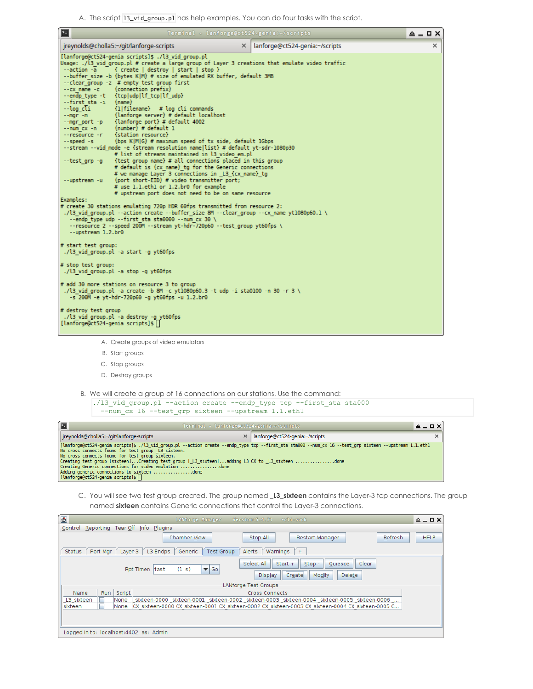A. The script 13\_vid\_group.p1 has help examples. You can do four tasks with the script.

| $\blacksquare$                                                                                                                                                                                                                                                                                                                                                                                                                                                                                                                                                                                                                                                                                                                                                                                                                                                                                                                                                                                                                                                                                                                                                                                                                                                                                                                                                                                                                                                                                                                                                                                            | Terminal - lanforge@ct524-genia:~/scripts  | $A$ $ B$ $X$ |
|-----------------------------------------------------------------------------------------------------------------------------------------------------------------------------------------------------------------------------------------------------------------------------------------------------------------------------------------------------------------------------------------------------------------------------------------------------------------------------------------------------------------------------------------------------------------------------------------------------------------------------------------------------------------------------------------------------------------------------------------------------------------------------------------------------------------------------------------------------------------------------------------------------------------------------------------------------------------------------------------------------------------------------------------------------------------------------------------------------------------------------------------------------------------------------------------------------------------------------------------------------------------------------------------------------------------------------------------------------------------------------------------------------------------------------------------------------------------------------------------------------------------------------------------------------------------------------------------------------------|--------------------------------------------|--------------|
| jreynolds@cholla5:~/git/lanforge-scripts                                                                                                                                                                                                                                                                                                                                                                                                                                                                                                                                                                                                                                                                                                                                                                                                                                                                                                                                                                                                                                                                                                                                                                                                                                                                                                                                                                                                                                                                                                                                                                  | $\times$<br>lanforge@ct524-genia:~/scripts | $\times$     |
| [lanforge@ct524-genia scripts]\$ ./l3 vid group.pl<br>Usage: ./l3 vid group.pl # create a large group of Layer 3 creations that emulate video traffic<br>--action -a<br>{ create   destroy   start   stop }<br>--buffer size -b {bytes K M} # size of emulated RX buffer, default 3MB<br>--clear group -z # empty test group first<br>--cx name -c {connection prefix}<br>--endp type -t {tcp udp lf tcp lf udp}<br>--first sta -i {name}<br>--log_cl̃i       {1 filename}   # log_cli_commands<br>--mgr -m           {lanforge_server} # default_localhost<br>--mgr_port -p {lanforge port} # default 4002<br>--num cx -n {number} # default 1<br>--resource -r {station resource}<br>--speed -s {bps K M G} # maximum speed of tx side, default 1Gbps<br>--stream --vid mode -e {stream resolution name list} # default yt-sdr-1080p30<br># list of streams maintained in l3 video em.pl<br>{test group name} # all connections placed in this group<br>--test grp -g<br># default is {cx name} to for the Generic connections<br># we manage Layer 3 connections in L3 {cx name} tg<br>{port short-EID} # video transmitter port;<br>--upstream -u<br># use 1.1.eth1 or 1.2.br0 for example<br># upstream port does not need to be on same resource<br>Examples:<br># create 30 stations emulating 720p HDR 60fps transmitted from resource 2:<br>./l3 vid group.pl --action create --buffer size 8M --clear group --cx name yt1080p60.1 \<br>--endp type udp --first sta sta0000 --num $cx$ 30 \<br>-- resource 2 -- speed 200M -- stream yt-hdr-720p60 -- test group yt60fps \<br>--upstream 1.2.br0 |                                            |              |
| # start test group:<br>./l3 vid group.pl -a start -g yt60fps                                                                                                                                                                                                                                                                                                                                                                                                                                                                                                                                                                                                                                                                                                                                                                                                                                                                                                                                                                                                                                                                                                                                                                                                                                                                                                                                                                                                                                                                                                                                              |                                            |              |
| # stop test group:<br>./l3 vid group.pl -a stop -g yt60fps                                                                                                                                                                                                                                                                                                                                                                                                                                                                                                                                                                                                                                                                                                                                                                                                                                                                                                                                                                                                                                                                                                                                                                                                                                                                                                                                                                                                                                                                                                                                                |                                            |              |
| # add 30 more stations on resource 3 to group<br>./13 vid group.pl -a create -b 8M -c yt1080p60.3 -t udp -i sta0100 -n 30 -r 3<br>-s 200M -e yt-hdr-720p60 -g yt60fps -u 1.2.br0                                                                                                                                                                                                                                                                                                                                                                                                                                                                                                                                                                                                                                                                                                                                                                                                                                                                                                                                                                                                                                                                                                                                                                                                                                                                                                                                                                                                                          |                                            |              |
| # destroy test group<br>./l3 vid group.pl -a destroy -g yt60fps<br>[lanforge@ct524-genia scripts]\$                                                                                                                                                                                                                                                                                                                                                                                                                                                                                                                                                                                                                                                                                                                                                                                                                                                                                                                                                                                                                                                                                                                                                                                                                                                                                                                                                                                                                                                                                                       |                                            |              |
| A. Create groups of video emulators                                                                                                                                                                                                                                                                                                                                                                                                                                                                                                                                                                                                                                                                                                                                                                                                                                                                                                                                                                                                                                                                                                                                                                                                                                                                                                                                                                                                                                                                                                                                                                       |                                            |              |

- B. Start groups
- C. Stop groups
- D. Destroy groups
- B. We will create a group of 16 connections on our stations. Use the command:

| ./13 vid group.pl --action create --endp type tcp --first sta sta000<br>--num cx 16 --test grp sixteen --upstream 1.1.eth1                                                                                                                                                                                                                                                                                        |                                           |         |
|-------------------------------------------------------------------------------------------------------------------------------------------------------------------------------------------------------------------------------------------------------------------------------------------------------------------------------------------------------------------------------------------------------------------|-------------------------------------------|---------|
| Terminal - lanforge@ct524-genia:~/scripts                                                                                                                                                                                                                                                                                                                                                                         |                                           | $4 - 7$ |
| jreynolds@cholla5:~/git/lanforge-scripts                                                                                                                                                                                                                                                                                                                                                                          | $\times$   lanforge@ct524-genia:~/scripts |         |
| [lanforge@ct524-genia scripts]\$ ./l3 vid group.pl --action create --endp type tcp --first sta sta000 --num cx 16 --test grp sixteen --upstream 1.1.ethl<br>No cross connects found for test group L3 sixteen.<br>No cross connects found for test group sixteen.<br>Creating test group [sixteen]Creating test group [ L3 sixteen]adding L3 CX to _L3_sixteen done<br>$[lanforce@ct524-qenia scripts]$ \$ $\Box$ |                                           |         |

C. You will see two test group created. The group named **\_L3\_sixteen** contains the Layer-3 tcp connections. The group named **sixteen** contains Generic connections that control the Layer-3 connections.

| 画                                       |                                                                                                                                                                 |               | <b>LANforge Manager</b><br>Version(5.4.2)<br>$+c1i-sock$                                          | $A = \square X$ |  |  |  |  |  |
|-----------------------------------------|-----------------------------------------------------------------------------------------------------------------------------------------------------------------|---------------|---------------------------------------------------------------------------------------------------|-----------------|--|--|--|--|--|
| Control                                 |                                                                                                                                                                 |               | Reporting Tear Off Info Plugins                                                                   |                 |  |  |  |  |  |
|                                         |                                                                                                                                                                 |               | <b>Chamber View</b><br>Refresh<br>Stop All<br><b>Restart Manager</b>                              | <b>HELP</b>     |  |  |  |  |  |
| Status                                  | Port Mgr                                                                                                                                                        | Layer-3       | L3 Endps<br>Test Group<br>Alerts<br>Warnings<br>Generic<br>$+$                                    |                 |  |  |  |  |  |
|                                         | Select All<br>Quiesce<br>Clear<br>Start $+$<br>$Stop -$<br>$\blacktriangleright$ Go<br>Rpt Timer: fast<br>(1 s)<br>Delete<br>Create<br>Modify<br><b>Display</b> |               |                                                                                                   |                 |  |  |  |  |  |
|                                         |                                                                                                                                                                 |               | ·LANforge Test Groups                                                                             |                 |  |  |  |  |  |
| Name                                    | <b>Run</b>                                                                                                                                                      | <b>Script</b> | <b>Cross Connects</b>                                                                             |                 |  |  |  |  |  |
| L3 sixteen                              | п                                                                                                                                                               | None          | sixteen-0000 sixteen-0001 sixteen-0002 sixteen-0003 sixteen-0004 sixteen-0005 sixteen-0006        |                 |  |  |  |  |  |
| sixteen                                 | г                                                                                                                                                               | None          | CX sixteen-0000 CX sixteen-0001 CX sixteen-0002 CX sixteen-0003 CX sixteen-0004 CX sixteen-0005 C |                 |  |  |  |  |  |
|                                         |                                                                                                                                                                 |               |                                                                                                   |                 |  |  |  |  |  |
| Logged in to: localhost: 4402 as: Admin |                                                                                                                                                                 |               |                                                                                                   |                 |  |  |  |  |  |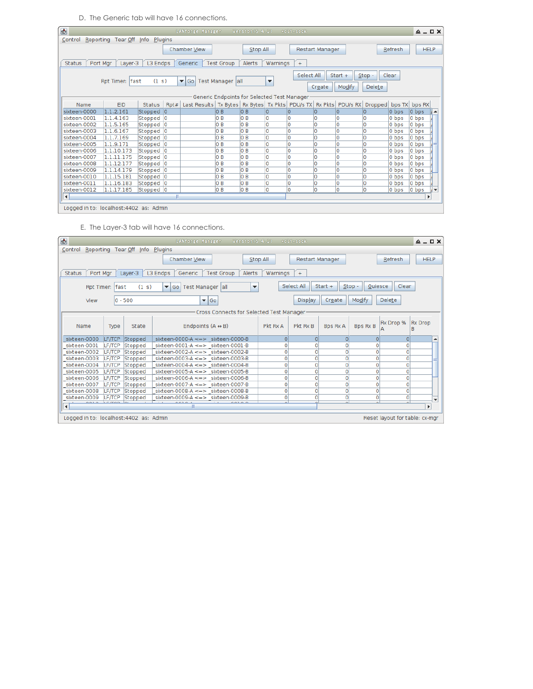D. The Generic tab will have 16 connections.

| $\bullet$                                                                                                     |                                                                                                                                                                                                                 |               |                | <b>LANforge Manager</b>                                                      |      | Version(5.4.2) |    | $+c1i$ -sock   |                 |   |                |         | $\triangle$ $ \Box$ $\times$ |                          |
|---------------------------------------------------------------------------------------------------------------|-----------------------------------------------------------------------------------------------------------------------------------------------------------------------------------------------------------------|---------------|----------------|------------------------------------------------------------------------------|------|----------------|----|----------------|-----------------|---|----------------|---------|------------------------------|--------------------------|
| Control Reporting Tear Off Info Plugins                                                                       |                                                                                                                                                                                                                 |               |                |                                                                              |      |                |    |                |                 |   |                |         |                              |                          |
|                                                                                                               |                                                                                                                                                                                                                 |               |                | Chamber View                                                                 |      | Stop All       |    |                | Restart Manager |   |                | Refresh |                              | <b>HELP</b>              |
| <b>Status</b><br>Port Mgr<br>L3 Endps<br>Alerts<br>Warnings<br>Layer-3<br><b>Test Group</b><br>Generic<br>$+$ |                                                                                                                                                                                                                 |               |                |                                                                              |      |                |    |                |                 |   |                |         |                              |                          |
|                                                                                                               | Select All<br>Start $+$<br>$Stop -$<br>Clear<br>(1 s)<br>▼ Go   Test Manager   all<br>Rpt Timer: Ifast<br>$\overline{\phantom{a}}$<br>Modify<br>Delete<br>Create<br>Generic Endpoints for Selected Test Manager |               |                |                                                                              |      |                |    |                |                 |   |                |         |                              |                          |
| Name                                                                                                          | <b>EID</b>                                                                                                                                                                                                      | <b>Status</b> | Rpt#           | Last Results   Tx Bytes   Rx Bytes   Tx Pkts   PDU/s TX   Rx Pkts   PDU/s RX |      |                |    |                |                 |   | <b>Dropped</b> | bps TX  | bps RX                       |                          |
| sixteen-0000                                                                                                  | 1.1.2.161                                                                                                                                                                                                       | Stopped       | 10             |                                                                              | lo B | lo B           | 10 | 10             | 10              | 0 | 0              | 0 bps   | 0 bps                        |                          |
| sixteen-0001                                                                                                  | 1.1.4.163                                                                                                                                                                                                       | Stopped       | 10             |                                                                              | 0B   | 0B             | ١o | O              | ١o              | 0 | O              | 0 bps   | 0 bps                        |                          |
| sixteen-0002                                                                                                  | 1.1.5.165                                                                                                                                                                                                       | Stopped       | 10             |                                                                              | lo B | 0B             | lo | O              | 10              | 0 | O              | 0 bps   | 0 bps                        |                          |
| sixteen-0003                                                                                                  | 1.1.6.167                                                                                                                                                                                                       | Stopped       | 0              |                                                                              | 0B   | 0B             | lo | O              | ١o              | 0 | O              | 0 bps   | 0 bps                        |                          |
| sixteen-0004                                                                                                  | 1.1.7.169                                                                                                                                                                                                       | Stopped       | lo             |                                                                              | lo B | lo B           | o  | O              | ١o              | 0 | O              | 0 bps   | 0 bps                        |                          |
| sixteen-0005                                                                                                  | 1.1.9.171                                                                                                                                                                                                       | Stopped       | $\overline{0}$ |                                                                              | lo B | 0 <sub>B</sub> | ١o | O              | ١o              | 0 | O              | 0 bps   | 0 bps                        |                          |
| sixteen-0006                                                                                                  | 1.1.10.173                                                                                                                                                                                                      | Stopped       | 10             |                                                                              | 0 B  | 0 <sub>B</sub> | O  | O              | ١o              | 0 | l0             | 0 bps   | 0 bps                        |                          |
| sixteen-0007                                                                                                  | 1.1.11.175                                                                                                                                                                                                      | Stopped       | $\circ$        |                                                                              | lo B | lo B           | O  | O              | ١o              | 0 | O              | 0 bps   | 0 bps                        |                          |
| sixteen-0008                                                                                                  | 1.1.12.177                                                                                                                                                                                                      | Stopped       | 10             |                                                                              | lo B | 0B             | O  | O              | ١o              | 0 | 0              | 0 bps   | 0 bps                        |                          |
| sixteen-0009                                                                                                  | 1.1.14.179                                                                                                                                                                                                      | Stopped       | 10             |                                                                              | lo B | 0 <sub>B</sub> | O  | $\overline{0}$ | ١o              | 0 | O              | 0 bps   | 0 bps                        |                          |
| sixteen-0010                                                                                                  | 1.1.15.181                                                                                                                                                                                                      | Stopped       | 10             |                                                                              | 0B   | 0B             | lo | $\overline{0}$ | ١o              | Ō | $\overline{0}$ | 0 bps   | 0 bps                        |                          |
| sixteen-0011                                                                                                  | 1.1.16.183                                                                                                                                                                                                      | Stopped 0     |                |                                                                              | lo B | 0B             | lo | O              | 10              | 0 | O              | 0 bps   | 0 bps                        |                          |
| sixteen-0012                                                                                                  | 1.1.17.185                                                                                                                                                                                                      | Stopped 0     |                |                                                                              | 0B   | lo B           | lo | $\overline{0}$ | ١o              | 0 | <b>O</b>       | $0$ bps | 0 bps                        | $\overline{\phantom{a}}$ |
| $\left  \cdot \right $                                                                                        |                                                                                                                                                                                                                 |               | m.             |                                                                              |      |                |    |                |                 |   |                |         | $\blacktriangleright$        |                          |
| Logged in to: localhost: 4402 as: Admin                                                                       |                                                                                                                                                                                                                 |               |                |                                                                              |      |                |    |                |                 |   |                |         |                              |                          |

E. The Layer-3 tab will have 16 connections.

| $\bullet$                                                                                                     | <b>LANforge Manager</b><br>Version(5, 4, 2)                                                                                               | +cli-sock            |                                    | $A = \square X$                    |  |  |  |  |  |  |  |
|---------------------------------------------------------------------------------------------------------------|-------------------------------------------------------------------------------------------------------------------------------------------|----------------------|------------------------------------|------------------------------------|--|--|--|--|--|--|--|
| Control Reporting Tear Off Info Plugins                                                                       |                                                                                                                                           |                      |                                    |                                    |  |  |  |  |  |  |  |
|                                                                                                               | Chamber View                                                                                                                              | Stop All             | <b>Restart Manager</b>             | Refresh<br><b>HELP</b>             |  |  |  |  |  |  |  |
| Port Mgr<br><b>Status</b><br>L3 Endps<br>Generic<br><b>Test Group</b><br>Alerts<br>Warnings<br>Layer-3<br>$+$ |                                                                                                                                           |                      |                                    |                                    |  |  |  |  |  |  |  |
| Rpt Timer:  fast                                                                                              | Select All<br>Clear<br>Quiesce<br>$Start +$<br>$Stop -$<br>(1 s)<br>$\blacktriangledown$ Go<br>Test Manager   all<br>$\blacktriangledown$ |                      |                                    |                                    |  |  |  |  |  |  |  |
| Modify<br><b>Delete</b><br>$\blacktriangleright$ Go<br>$ 0 - 500$<br>Create<br>Display<br>View                |                                                                                                                                           |                      |                                    |                                    |  |  |  |  |  |  |  |
|                                                                                                               | Cross Connects for Selected Test Manager                                                                                                  |                      |                                    |                                    |  |  |  |  |  |  |  |
| Name<br>Type                                                                                                  | Endpoints $(A \leftrightarrow B)$<br>State                                                                                                | Pkt Rx B<br>Pkt Rx A | <b>Bps Rx B</b><br><b>Bps Rx A</b> | Rx Drop %<br><b>Rx Drop</b><br>R   |  |  |  |  |  |  |  |
| sixteen-0000<br><b>LF/TCP</b><br>Stopped                                                                      | sixteen-0000-A $\leq$ => sixteen-0000-B                                                                                                   | $\Omega$<br>$\Omega$ | $\Omega$                           | $\Omega$<br>$\Omega$<br>▲          |  |  |  |  |  |  |  |
| sixteen-0001<br><b>LF/TCP</b><br>Stopped                                                                      | sixteen-0001-A $\leq$ => sixteen-0001-B                                                                                                   | $\circ$<br>0         | $\Omega$                           | 0<br>0                             |  |  |  |  |  |  |  |
| sixteen-0002<br><b>LF/TCP</b><br>Stopped                                                                      | sixteen-0002-A $\leq$ => sixteen-0002-B                                                                                                   | 0<br>0               | $\mathbf{O}$                       | $\mathbf 0$<br>0                   |  |  |  |  |  |  |  |
| sixteen-0003<br>LF/TCP<br>Stopped                                                                             | sixteen-0003-A $\leq$ => sixteen-0003-B                                                                                                   | $\overline{0}$<br>0  | $\mathbf{O}$                       | $\mathbf 0$<br>$\Omega$            |  |  |  |  |  |  |  |
| sixteen-0004<br><b>LF/TCP</b><br>Stopped                                                                      | sixteen-0004-A $\leq$ => sixteen-0004-B                                                                                                   | 0<br>0               | $\mathbf{O}$                       | $\mathbf 0$<br>0                   |  |  |  |  |  |  |  |
| sixteen-0005<br>LF/TCP<br>Stopped                                                                             | sixteen-0005-A $\leq$ => sixteen-0005-B                                                                                                   | $\mathbf{O}$<br>0    | $\mathbf{O}$                       | $\mathbf 0$<br>$\Omega$            |  |  |  |  |  |  |  |
| LF/TCP<br>sixteen-0006<br>Stopped                                                                             | sixteen-0006-A $\leq$ => sixteen-0006-B                                                                                                   | $\overline{0}$<br>0  | $\mathbf{O}$                       | $\mathbf 0$<br>$\Omega$            |  |  |  |  |  |  |  |
| sixteen-0007<br>LF/TCP<br>Stopped                                                                             | sixteen-0007-A $\leq$ => sixteen-0007-B                                                                                                   | $\overline{0}$<br>0  | $\mathbf{0}$                       | 0<br>$\Omega$                      |  |  |  |  |  |  |  |
| Stopped<br>sixteen-0008<br>LF/TCP                                                                             | sixteen-0008-A $\leq$ => sixteen-0008-B                                                                                                   | $\overline{0}$<br>0  | 0                                  | 0<br>O                             |  |  |  |  |  |  |  |
| sixteen-0009<br><b>LF/TCP</b><br>Stopped                                                                      | sixteen-0009-A $\leq$ => sixteen-0009-B                                                                                                   | $\overline{0}$<br>0  | 0                                  | 0<br>0<br>$\overline{\phantom{a}}$ |  |  |  |  |  |  |  |
| $F = 1$                                                                                                       | 0.03.0                                                                                                                                    |                      |                                    | $\mathbf{r}$                       |  |  |  |  |  |  |  |
| Logged in to: localhost: 4402 as: Admin                                                                       |                                                                                                                                           |                      |                                    | Reset layout for table: cx-mgr     |  |  |  |  |  |  |  |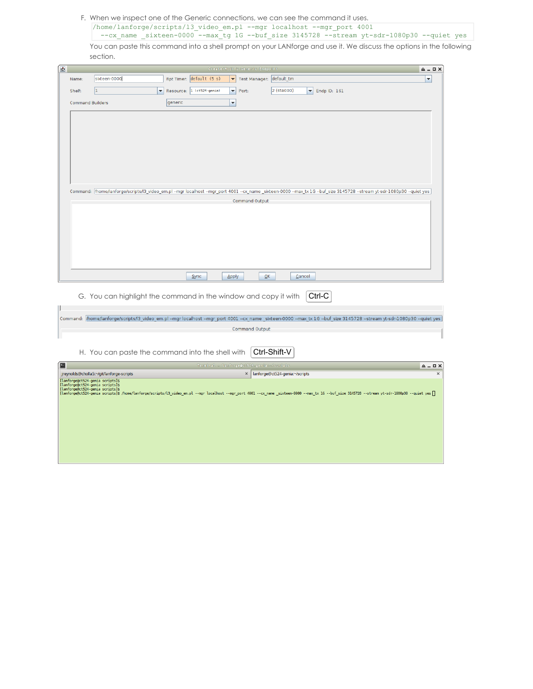F. When we inspect one of the Generic connections, we can see the command it uses.

/home/lanforge/scripts/l3\_video\_em.pl --mgr localhost --mgr\_port 4001 --cx\_name \_sixteen-0000 --max\_tg 1G --buf\_size 3145728 --stream yt-sdr-1080p30 --quiet yes

You can paste this command into a shell prompt on your LANforge and use it. We discuss the options in the following section.

| $\bullet$ | Create/Modify Generic Endpoint<br>$A = \square$ X |                                                                 |         |                           |                                                      |                                    |                                                                                                                                                                          |                      |
|-----------|---------------------------------------------------|-----------------------------------------------------------------|---------|---------------------------|------------------------------------------------------|------------------------------------|--------------------------------------------------------------------------------------------------------------------------------------------------------------------------|----------------------|
|           | Name:                                             | sixteen-0000                                                    |         | Rpt Timer: default (5 s)  | Test Manager: default_tm<br>$\overline{\phantom{0}}$ |                                    |                                                                                                                                                                          | $\blacktriangledown$ |
|           | Shelf:                                            | h.<br>$\blacktriangledown$                                      |         | Resource: 1 (ct524-genia) | Port:<br>$\blacktriangledown$                        | 2 (sta000)                         | $\blacktriangleright$ Endp ID: 161                                                                                                                                       |                      |
|           |                                                   |                                                                 |         |                           |                                                      |                                    |                                                                                                                                                                          |                      |
|           | <b>Command Builders</b>                           |                                                                 | generic |                           | ▼                                                    |                                    |                                                                                                                                                                          |                      |
|           |                                                   |                                                                 |         |                           |                                                      |                                    |                                                                                                                                                                          |                      |
|           |                                                   |                                                                 |         |                           |                                                      |                                    |                                                                                                                                                                          |                      |
|           |                                                   |                                                                 |         |                           |                                                      |                                    |                                                                                                                                                                          |                      |
|           |                                                   |                                                                 |         |                           |                                                      |                                    |                                                                                                                                                                          |                      |
|           |                                                   |                                                                 |         |                           |                                                      |                                    |                                                                                                                                                                          |                      |
|           |                                                   |                                                                 |         |                           |                                                      |                                    |                                                                                                                                                                          |                      |
|           |                                                   |                                                                 |         |                           |                                                      |                                    |                                                                                                                                                                          |                      |
|           |                                                   |                                                                 |         |                           |                                                      |                                    |                                                                                                                                                                          |                      |
|           |                                                   |                                                                 |         |                           |                                                      |                                    | Command: Mome/lanforge/scripts/l3_video_em.pl --mgr localhost --mgr_port 4001 --cx_name _sixteen-0000 --max_tx 1G --buf_size 3145728 --stream yt-sdr-1080p30 --quiet yes |                      |
|           |                                                   |                                                                 |         |                           | Command Output                                       |                                    |                                                                                                                                                                          |                      |
|           |                                                   |                                                                 |         |                           |                                                      |                                    |                                                                                                                                                                          |                      |
|           |                                                   |                                                                 |         |                           |                                                      |                                    |                                                                                                                                                                          |                      |
|           |                                                   |                                                                 |         |                           |                                                      |                                    |                                                                                                                                                                          |                      |
|           |                                                   |                                                                 |         |                           |                                                      |                                    |                                                                                                                                                                          |                      |
|           |                                                   |                                                                 |         |                           |                                                      |                                    |                                                                                                                                                                          |                      |
|           |                                                   |                                                                 |         |                           |                                                      |                                    |                                                                                                                                                                          |                      |
|           |                                                   |                                                                 |         | Sync                      | Apply                                                | $\overline{\mathsf{OK}}$<br>Cancel |                                                                                                                                                                          |                      |
|           |                                                   | G. You can highlight the command in the window and copy it with |         |                           |                                                      |                                    | Ctrl-C                                                                                                                                                                   |                      |
|           |                                                   |                                                                 |         |                           |                                                      |                                    |                                                                                                                                                                          |                      |
|           |                                                   |                                                                 |         |                           |                                                      |                                    |                                                                                                                                                                          |                      |
|           |                                                   |                                                                 |         |                           |                                                      |                                    | Command: /home/lanforge/scripts/l3_video_em.pl --mgr localhost --mgr_port 4001 --cx_name_sixteen-0000 --max_tx 1G --buf_size 3145728 --stream yt-sdr-1080p30 --quiet yes |                      |
|           |                                                   |                                                                 |         |                           | Command Output                                       |                                    |                                                                                                                                                                          |                      |
|           |                                                   |                                                                 |         |                           |                                                      |                                    |                                                                                                                                                                          |                      |
|           |                                                   | H. You can paste the command into the shell with                |         |                           |                                                      | Ctrl-Shift-V                       |                                                                                                                                                                          |                      |
| íe        |                                                   |                                                                 |         |                           | Terminal - lanforge@ct524-genia:~/scripts            |                                    |                                                                                                                                                                          | $A = \square$ X      |

| التناز<br>Terminal - lanforge@ct524-genia:~/scripts                                                                                                                                                                                                                                                             |                                           | $A - I X$ |
|-----------------------------------------------------------------------------------------------------------------------------------------------------------------------------------------------------------------------------------------------------------------------------------------------------------------|-------------------------------------------|-----------|
| jreynolds@cholla5:~/git/lanforge-scripts                                                                                                                                                                                                                                                                        | $\times$   lanforge@ct524-genia:~/scripts | $\times$  |
| [lanforge@ct524-genia scripts]\$<br>[lanforge@ct524-genia scripts]\$<br>[lanforge@ct524-genia scripts]\$<br>[lanforge@ct524-genia scripts]\$ /home/lanforge/scripts/l3 video_em.pl --mgr localhost --mgr_port 4001 --cx_name_sixteen-0000 --max_tx 1G --buf_size 3145728 --stream yt-sdr-1080p30 --quiet yes [] |                                           |           |
|                                                                                                                                                                                                                                                                                                                 |                                           |           |
|                                                                                                                                                                                                                                                                                                                 |                                           |           |
|                                                                                                                                                                                                                                                                                                                 |                                           |           |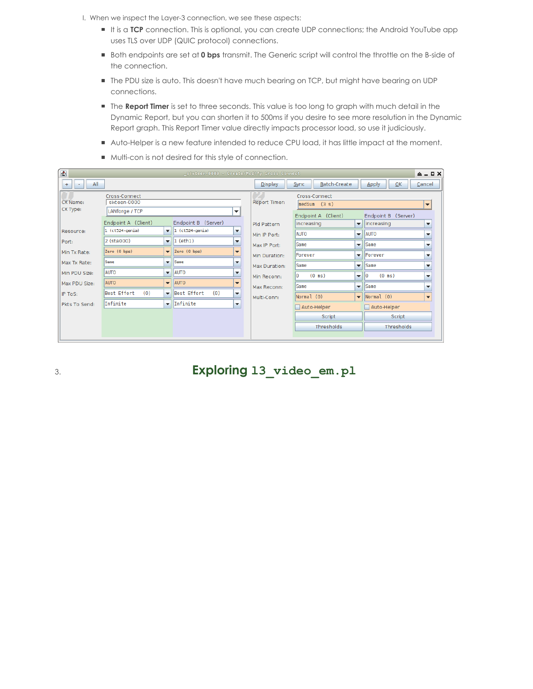- I. When we inspect the Layer-3 connection, we see these aspects:
	- It is a TCP connection. This is optional, you can create UDP connections; the Android YouTube app uses TLS over UDP (QUIC protocol) connections.
	- Both endpoints are set at **0 bps** transmit. The Generic script will control the throttle on the B-side of the connection.
	- The PDU size is auto. This doesn't have much bearing on TCP, but might have bearing on UDP connections.
	- The **Report Timer** is set to three seconds. This value is too long to graph with much detail in the Dynamic Report, but you can shorten it to 500ms if you desire to see more resolution in the Dynamic Report graph. This Report Timer value directly impacts processor load, so use it judiciously.
	- Auto-Helper is a new feature intended to reduce CPU load, it has little impact at the moment.
	- $\blacksquare$  Multi-con is not desired for this style of connection.

| $\bullet$            | _sixteen-0000 - Create/Modify Cross Connect<br>$\triangle$ $ \Box$ $\times$ |                          |                                                                    |                                                                                                        |               |                                                       |                          |                                          |                          |  |  |
|----------------------|-----------------------------------------------------------------------------|--------------------------|--------------------------------------------------------------------|--------------------------------------------------------------------------------------------------------|---------------|-------------------------------------------------------|--------------------------|------------------------------------------|--------------------------|--|--|
| All<br>$+$           |                                                                             |                          |                                                                    |                                                                                                        |               | Batch-Create<br>Sync                                  |                          | $\overline{\mathsf{OK}}$<br><b>Apply</b> | Cancel                   |  |  |
| CX Name:<br>CX Type: | Cross-Connect<br>sixteen-0000<br>LANforge / TCP                             | ▼                        |                                                                    |                                                                                                        |               | Cross-Connect<br><b>Report Timer:</b><br>median (3 s) |                          |                                          |                          |  |  |
|                      | Endpoint A (Client)<br>Endpoint B (Server)                                  |                          | Pld Pattern                                                        | Endpoint B<br>Endpoint A (Client)<br>(Server)<br>increasing<br>lincreasing<br>$\overline{\phantom{a}}$ |               |                                                       | $\overline{\phantom{a}}$ |                                          |                          |  |  |
| Resource:            | $ 1 (ct524-genia) $                                                         |                          | $\blacktriangledown$   1 (ct524-genia)<br>$\overline{\phantom{a}}$ |                                                                                                        | Min IP Port:  | <b>AUTO</b>                                           | $\overline{\mathbf{v}}$  | <b>AUTO</b>                              | $\overline{\phantom{a}}$ |  |  |
| Port:                | 2 (sta000)                                                                  | $\overline{\phantom{a}}$ | $\vert$ 1 (eth1)<br>$\overline{\phantom{a}}$                       |                                                                                                        | Max IP Port:  | Same                                                  | $\overline{\mathbf{v}}$  | <b>Same</b>                              | $\overline{\phantom{a}}$ |  |  |
| Min Tx Rate:         | Zero (0 bps)                                                                |                          | $\blacktriangledown$ Zero (0 bps)<br>$\overline{\phantom{a}}$      |                                                                                                        | Min Duration: | <b>IForever</b>                                       | $\overline{\phantom{a}}$ | Forever                                  | $\overline{\phantom{a}}$ |  |  |
| Max Tx Rate:         | Same                                                                        | ▼                        | <b>Same</b><br>$\overline{\phantom{a}}$                            |                                                                                                        | Max Duration: | Same                                                  | $\overline{\mathbf{v}}$  | <b>Same</b>                              | $\overline{\phantom{a}}$ |  |  |
| Min PDU Size:        | <b>AUTO</b>                                                                 |                          | $\overline{\phantom{a}}$   AUTO<br>$\overline{\phantom{a}}$        |                                                                                                        | Min Reconn:   | $(0 \text{ ms})$<br>lΘ                                | $\blacktriangledown$     | $(0 \text{ ms})$<br>10                   | $\overline{\phantom{a}}$ |  |  |
| Max PDU Size:        | <b>AUTO</b>                                                                 | $\mathbf{v}$             | AUTO<br>$\overline{\phantom{a}}$                                   |                                                                                                        | Max Reconn:   | Same                                                  | $\overline{\mathbf{v}}$  | <b>Same</b>                              | $\overline{\phantom{a}}$ |  |  |
| IP ToS:              | Best Effort<br>(0)                                                          |                          | Best Effort<br>(0)<br>$\overline{\phantom{a}}$                     |                                                                                                        | Multi-Conn:   | Normal (0)                                            | $\mathbf{v}$             | Normal (0)                               | $\overline{\phantom{a}}$ |  |  |
| Pkts To Send:        | Infinite                                                                    | $\overline{\phantom{a}}$ | Infinite<br>$\overline{\phantom{a}}$                               |                                                                                                        |               | Auto-Helper                                           |                          | Auto-Helper                              |                          |  |  |
|                      |                                                                             |                          |                                                                    |                                                                                                        |               | Script                                                |                          | Script                                   |                          |  |  |
|                      |                                                                             |                          |                                                                    |                                                                                                        |               | <b>Thresholds</b>                                     |                          | <b>Thresholds</b>                        |                          |  |  |
|                      |                                                                             |                          |                                                                    |                                                                                                        |               |                                                       |                          |                                          |                          |  |  |

3. **Exploring l3\_video\_em.pl**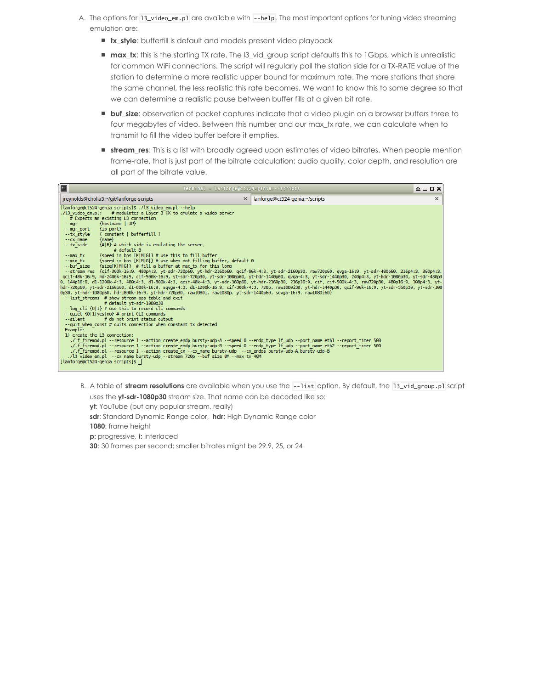- A. The options for 13\_video\_em.p1 are available with --he1p. The most important options for tuning video streaming emulation are:
	- **tx\_style**: bufferfill is default and models present video playback
	- **max\_tx**: this is the starting TX rate. The l3\_vid\_group script defaults this to 1Gbps, which is unrealistic for common WiFi connections. The script will regularly poll the station side for a TX-RATE value of the station to determine a more realistic upper bound for maximum rate. The more stations that share the same channel, the less realistic this rate becomes. We want to know this to some degree so that we can determine a realistic pause between buffer fills at a given bit rate.
	- **buf\_size**: observation of packet captures indicate that a video plugin on a browser buffers three to four megabytes of video. Between this number and our max\_tx rate, we can calculate when to transmit to fill the video buffer before it empties.
	- **stream\_res**: This is a list with broadly agreed upon estimates of video bitrates. When people mention frame-rate, that is just part of the bitrate calculation; audio quality, color depth, and resolution are all part of the bitrate value.

| E<br>Terminal - lanforge@ct524-genia:~/scripts                                                                                                                                                                                                                                                                                                                                                                                                                                                                                                                                                                                                                                                                                                                                                                                                                                                                                                                                                                                                                                                                                                                                                                                                                                                                                                                                                                                                                                                                                                                                                                                                                                                                                                                                                                                                                                                                                                                                                                                                                                                                                                                                                                              |                                |          |  |  |  |
|-----------------------------------------------------------------------------------------------------------------------------------------------------------------------------------------------------------------------------------------------------------------------------------------------------------------------------------------------------------------------------------------------------------------------------------------------------------------------------------------------------------------------------------------------------------------------------------------------------------------------------------------------------------------------------------------------------------------------------------------------------------------------------------------------------------------------------------------------------------------------------------------------------------------------------------------------------------------------------------------------------------------------------------------------------------------------------------------------------------------------------------------------------------------------------------------------------------------------------------------------------------------------------------------------------------------------------------------------------------------------------------------------------------------------------------------------------------------------------------------------------------------------------------------------------------------------------------------------------------------------------------------------------------------------------------------------------------------------------------------------------------------------------------------------------------------------------------------------------------------------------------------------------------------------------------------------------------------------------------------------------------------------------------------------------------------------------------------------------------------------------------------------------------------------------------------------------------------------------|--------------------------------|----------|--|--|--|
| ireynolds@cholla5:~/git/lanforge-scripts<br>$\times$                                                                                                                                                                                                                                                                                                                                                                                                                                                                                                                                                                                                                                                                                                                                                                                                                                                                                                                                                                                                                                                                                                                                                                                                                                                                                                                                                                                                                                                                                                                                                                                                                                                                                                                                                                                                                                                                                                                                                                                                                                                                                                                                                                        | lanforge@ct524-genia:~/scripts | $\times$ |  |  |  |
| [lanforge@ct524-genia scripts]\$ ./l3 video em.pl --help<br>./l3 video em.pl: # modulates a Laver 3 CX to emulate a video server<br># Expects an existing L3 connection<br>{hostname   IP}<br>$--mar$<br>--mgr port {ip port}<br>--tx style { constant   bufferfill }<br>${name}$<br>$-CX$ name<br>{A B} # which side is emulating the server,<br>--tx side<br># default B<br>--max tx {speed in bps [K M G]} # use this to fill buffer<br>--min tx $\{speed in bps [K M G]\} # use when not filling buffer, default 0$<br>--buf size {size[K M G]} # fill a buffer at max tx for this long<br>--stream res {cif-300k-16:9, 480p4:3, yt-sdr-720p60, yt-hdr-2160p60, qcif-96k-4:3, yt-sdr-2160p30, raw720p60, qvga-16:9, yt-sdr-480p60, 216p4:3, 360p4:3,<br>qcif-48k-16:9, hd-2400k-16:9, cif-500k-16:9, yt-sdr-720p30, yt-sdr-1080p60, yt-hdr-1440p60, qvga-4:3, yt-sdr-1440p30, 240p4:3, yt-hdr-1080p30, yt-sdr-480p3<br>0. 144p16:9, d1-1200k-4:3, 480i4:3, d1-800k-4:3, acif-48k-4:3, vt-sdr-360p60, vt-hdr-2160p30, 216p16:9, cif, cif-500k-4:3, raw720p30, 480p16:9, 108p4:3, vt-<br>hdr-720p60, yt-sdr-2160p60, dl-800k-16:9, sqvqa-4:3, dl-1200k-16:9, cif-300k-4:3, 720p, raw1080i30, yt-hdr-1440p30, qcif-96k-16:9, yt-sdr-360p30, yt-sdr-108<br>0p30, yt-hdr-1080p60, hd-1800k-16:9, yt-hdr-720p30, raw1080i, raw1080p, yt-sdr-1440p60, sqvqa-16:9, raw1080i60}<br>--list streams # show stream bps table and exit<br># default vt-sdr-1080p30<br>--log cli {0 1} # use this to record cli commands<br>--quiet {0 1 yes no} # print CLI commands<br>--silent # do not print status output<br>--quit when const # quits connection when constant tx detected<br>Example:<br>1) create the L3 connection:<br>./lf firemod.pl --resource 1 --action create endp bursty-udp-A --speed 0 --endp type lf udp --port name eth1 --report timer 500<br>./lf firemod.pl --resource 1 --action create endp bursty-udp-B --speed 0 --endp type lf udp --port name eth2 --report timer 500<br>./lf firemod.pl --resource 1 --action create cx --cx name bursty-udp --cx endps bursty-udp-A,bursty-udp-B<br>./l3 video em.pl --cx name bursty-udp --stream 720p --buf size 8M --max tx 40M<br>[lanforge@ct524-genia scripts]\$ |                                |          |  |  |  |

B. A table of **stream resolutions** are available when you use the --list option. By default, the l3\_vid\_group.pl script

uses the **yt-sdr-1080p30** stream size. That name can be decoded like so:

**yt**: YouTube (but any popular stream, really)

**sdr**: Standard Dynamic Range color, **hdr**: High Dynamic Range color **1080**: frame height

**p:** progressive, **i:** interlaced

**30**: 30 frames per second; smaller bitrates might be 29.9, 25, or 24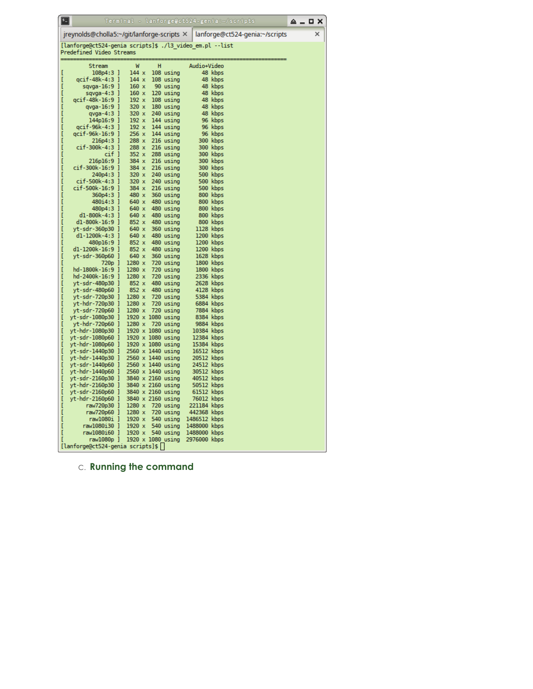|        | 囯                                                        | Terminal - lanforge@ct524-genia:~/scripts |   |                        |                             |                      |                                | ≙ – | <b>OX</b> |  |
|--------|----------------------------------------------------------|-------------------------------------------|---|------------------------|-----------------------------|----------------------|--------------------------------|-----|-----------|--|
|        | jreynolds@cholla5:~/git/lanforge-scripts ×               |                                           |   |                        |                             |                      | lanforge@ct524-genia:~/scripts |     | ×         |  |
|        | [lanforge@ct524-genia scripts]\$ ./l3_video_em.pl --list |                                           |   |                        |                             |                      |                                |     |           |  |
|        | Predefined Video Streams                                 |                                           |   |                        |                             |                      |                                |     |           |  |
|        | Stream                                                   | W                                         | н |                        | Audio+Video                 |                      |                                |     |           |  |
| I      | 108p4:3 ]<br>qcif-48k-4:3 ]                              | 144x<br>144 x                             |   | 108 using<br>108 using |                             | 48 kbps<br>48 kbps   |                                |     |           |  |
| I      | $sqvqa-16:9$ ]                                           | 160x                                      |   | 90 using               |                             | 48 kbps              |                                |     |           |  |
| Ī      | I<br>sqvga-4:3                                           | 160x                                      |   | 120 using              |                             | 48 kbps              |                                |     |           |  |
| I      | qcif-48k-16:9 ]                                          | 192 x                                     |   | 108 using              |                             | 48 kbps              |                                |     |           |  |
| I      | qvga-16:9 ]                                              | 320 x                                     |   | 180 using              |                             | 48 kbps              |                                |     |           |  |
|        | qvga-4:3 ]                                               | 320 x                                     |   | 240 using              |                             | 48 kbps              |                                |     |           |  |
| ı      | 144p16:9 ]                                               | 192 x                                     |   | 144 using              |                             | 96 kbps              |                                |     |           |  |
| I<br>I | qcif-96k-4:3 ]<br>qcif-96k-16:9<br>I                     | 192 x<br>256 x                            |   | 144 using<br>144 using |                             | 96 kbps<br>96 kbps   |                                |     |           |  |
| I      | 216p4:3 ]                                                | 288 x                                     |   | 216 using              |                             | 300 kbps             |                                |     |           |  |
| I      | cif-300k-4:3 ]                                           | 288 x                                     |   | 216 using              |                             | 300 kbps             |                                |     |           |  |
|        | cif ]                                                    | 352 x                                     |   | 288 using              |                             | 300 kbps             |                                |     |           |  |
|        | $216p16:9$ ]                                             | 384 x                                     |   | 216 using              |                             | 300 kbps             |                                |     |           |  |
| I      | cif-300k-16:9 ]                                          | 384 x                                     |   | 216 using              |                             | 300 kbps             |                                |     |           |  |
| I      | 240p4:3<br>I                                             | 320 x                                     |   | 240 using              |                             | 500 kbps             |                                |     |           |  |
| I<br>I | cif-500k-4:3<br>I                                        | 320 x                                     |   | 240 using              |                             | 500 kbps             |                                |     |           |  |
|        | cif-500k-16:9 ]<br>360p4:3 ]                             | 384 x<br>480 x                            |   | 216 using<br>360 using |                             | 500 kbps<br>800 kbps |                                |     |           |  |
| I      | 480i4:3 ]                                                | 640 x                                     |   | 480 using              |                             | 800 kbps             |                                |     |           |  |
| I      | 480p4:3 ]                                                | 640 x                                     |   | 480 using              |                             | 800 kbps             |                                |     |           |  |
| I      | d1-800k-4:3]                                             | 640 x                                     |   | 480 using              |                             | 800 kbps             |                                |     |           |  |
| I      | d1-800k-16:9<br>ı                                        | 852 x                                     |   | 480 using              |                             | 800 kbps             |                                |     |           |  |
| I      | yt-sdr-360p30 ]                                          | 640 x                                     |   | 360 using              | 1128 kbps                   |                      |                                |     |           |  |
| I      | dl-1200k-4:3 ]                                           | 640 x                                     |   | 480 using              | 1200 kbps                   |                      |                                |     |           |  |
| l<br>I | 480p16:9 ]<br>d1-1200k-16:9]                             | 852 x<br>852 x                            |   | 480 using              | 1200 kbps<br>1200 kbps      |                      |                                |     |           |  |
| I      | yt-sdr-360p60]                                           | 640 x                                     |   | 480 using<br>360 using | 1628 kbps                   |                      |                                |     |           |  |
| I      | 720p<br>I                                                | $1280 \times$                             |   | 720 using              | 1800 kbps                   |                      |                                |     |           |  |
| I      | hd-1800k-16:9<br>-1                                      | $1280 \times$                             |   | 720 using              | 1800 kbps                   |                      |                                |     |           |  |
| I      | hd-2400k-16:9 ]                                          | 1280 x                                    |   | 720 using              | 2336 kbps                   |                      |                                |     |           |  |
| I      | yt-sdr-480p30<br>I                                       | 852 x                                     |   | 480 using              | 2628 kbps                   |                      |                                |     |           |  |
| I      | yt-sdr-480p60 ]                                          | 852 x                                     |   | 480 using              | 4128 kbps                   |                      |                                |     |           |  |
| I      | yt-sdr-720p30 ]                                          | $1280 \times$                             |   | 720 using              | 5384 kbps                   |                      |                                |     |           |  |
| I      | yt-hdr-720p30<br>1<br>yt-sdr-720p60<br>1                 | $1280 \times$<br>$1280 \times$            |   | 720 using<br>720 using | 6884 kbps<br>7884 kbps      |                      |                                |     |           |  |
| I      | yt-sdr-1080p30<br>٦                                      | 1920 x 1080 using                         |   |                        | 8384 kbps                   |                      |                                |     |           |  |
| ı      | yt-hdr-720p60<br>I                                       | 1280 x                                    |   | 720 using              | 9884 kbps                   |                      |                                |     |           |  |
|        | yt-hdr-1080p30 ]                                         | 1920 x 1080 using                         |   |                        | 10384 kbps                  |                      |                                |     |           |  |
|        | yt-sdr-1080p60<br>1                                      | $1920 \times 1080$ using                  |   |                        | 12384 kbps                  |                      |                                |     |           |  |
| I      | yt-hdr-1080p60<br>1                                      | $1920 \times 1080$ using                  |   |                        | 15384 kbps                  |                      |                                |     |           |  |
|        | yt-sdr-1440p30<br>1<br>1                                 | 2560 x 1440 using                         |   |                        | 16512 kbps<br>20512 kbps    |                      |                                |     |           |  |
| I      | yt-hdr-1440p30<br>yt-sdr-1440p60                         | 2560 x 1440 using<br>2560 x 1440 using    |   |                        | 24512 kbps                  |                      |                                |     |           |  |
|        | yt-hdr-1440p60 ]                                         | 2560 x 1440 using                         |   |                        | 30512 kbps                  |                      |                                |     |           |  |
| I      | yt-sdr-2160p30<br>1                                      | 3840 x 2160 using                         |   |                        | 40512 kbps                  |                      |                                |     |           |  |
| I      | yt-hdr-2160p30<br>J                                      | 3840 x 2160 using                         |   |                        | 50512 kbps                  |                      |                                |     |           |  |
|        | yt-sdr-2160p60<br>1                                      | 3840 x 2160 using                         |   |                        | 61512 kbps                  |                      |                                |     |           |  |
|        | yt-hdr-2160p60<br>1                                      | 3840 x 2160 using                         |   |                        | 76012 kbps                  |                      |                                |     |           |  |
|        | 1<br>raw720p30                                           | $1280 \times$                             |   | 720 using              | 221184 kbps                 |                      |                                |     |           |  |
|        | raw720p60 ]<br>raw1080i ]                                | $1280 \times$<br>$1920 \times$            |   | 720 using<br>540 using | 442368 kbps<br>1486512 kbps |                      |                                |     |           |  |
|        | I<br>raw1080i30                                          | 1920 x                                    |   | 540 using              | 1488000 kbps                |                      |                                |     |           |  |
|        | raw1080i60 ]                                             | 1920 x                                    |   | 540 using              | 1488000 kbps                |                      |                                |     |           |  |
|        | raw1080p ]                                               | $1920 \times 1080$ using                  |   |                        | 2976000 kbps                |                      |                                |     |           |  |
|        | [lanforge@ct524-genia scripts]\$                         |                                           |   |                        |                             |                      |                                |     |           |  |

C. **Running the command**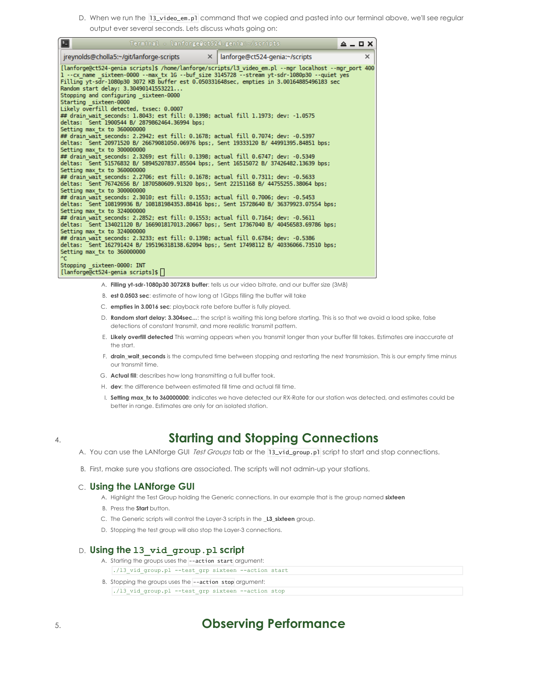D. When we run the 13\_video\_em.p1 command that we copied and pasted into our terminal above, we'll see regular output ever several seconds. Lets discuss whats going on:

| $\blacksquare$<br>Terminal - lanforge@ct524-genia:~/scripts                                                                                                                                                                                                                                                                                                                                                                                                                                                                                      |  | $A = \square$ X |
|--------------------------------------------------------------------------------------------------------------------------------------------------------------------------------------------------------------------------------------------------------------------------------------------------------------------------------------------------------------------------------------------------------------------------------------------------------------------------------------------------------------------------------------------------|--|-----------------|
| $\vert$ ireynolds@cholla5:~/git/lanforge-scripts $\vert$ = $\vert$ anforge@ct524-genia:~/scripts                                                                                                                                                                                                                                                                                                                                                                                                                                                 |  | $\times$        |
| [lanforge@ct524-genia scripts]\$ /home/lanforge/scripts/l3 video em.pl --mgr localhost --mgr port 400<br>1 -- cx name sixteen-0000 -- max tx 1G -- buf size 3145728 -- stream yt-sdr-1080p30 -- quiet yes<br>Filling vt-sdr-1080p30 3072 KB buffer est 0.050331648sec, empties in 3.00164885496183 sec<br>Random start delay: 3.30490141553221<br>Stopping and configuring sixteen-0000<br>Starting sixteen-0000<br>Likely overfill detected, txsec: 0.0007<br>## drain wait seconds: 1.8043; est fill: 0.1398; actual fill 1.1973; dev: -1.0575 |  |                 |
| deltas: Sent 1900544 B/ 2879862464.36994 bps:<br>Setting max tx to 360000000                                                                                                                                                                                                                                                                                                                                                                                                                                                                     |  |                 |
| ## drain wait seconds: 2.2942; est fill: 0.1678; actual fill 0.7074; dev: -0.5397<br>deltas: Sent 20971520 B/ 26679081050.06976 bps;, Sent 19333120 B/ 44991395.84851 bps;                                                                                                                                                                                                                                                                                                                                                                       |  |                 |
| Setting max tx to 300000000<br>## drain wait seconds: 2.3269; est fill: 0.1398; actual fill 0.6747; dev: -0.5349<br>deltas: Sent 51576832 B/ 58945207837.85504 bps:, Sent 16515072 B/ 37426482.13639 bps:<br>Setting max tx to 360000000                                                                                                                                                                                                                                                                                                         |  |                 |
| ## drain wait seconds: 2.2706; est fill: 0.1678; actual fill 0.7311; dev: -0.5633<br>deltas: Sent 76742656 B/ 1870580609.91320 bps;, Sent 22151168 B/ 44755255.38064 bps;<br>Setting max tx to 300000000                                                                                                                                                                                                                                                                                                                                         |  |                 |
| ## drain wait seconds: 2.3010: est fill: 0.1553: actual fill 0.7006: dev: -0.5453<br>deltas: Sent 108199936 B/ 108181984353.88416 bps:, Sent 15728640 B/ 36379923.07554 bps:<br>Setting max tx to 324000000                                                                                                                                                                                                                                                                                                                                      |  |                 |
| ## drain wait seconds: 2.2852; est fill: 0.1553; actual fill 0.7164; dev: -0.5611<br>deltas: Sent 134021120 B/ 166901817013.20667 bps;, Sent 17367040 B/ 40456583.69786 bps;<br>Setting max tx to 324000000                                                                                                                                                                                                                                                                                                                                      |  |                 |
| ## drain wait seconds: 2.3233; est fill: 0.1398; actual fill 0.6784; dev: -0.5386<br>deltas: Sent 162791424 B/ 195196318138.62094 bps:, Sent 17498112 B/ 40336066.73510 bps:<br>Setting max tx to 360000000                                                                                                                                                                                                                                                                                                                                      |  |                 |
| ^C.<br>Stopping sixteen-0000: INT<br>[lanforge@ct524-genia scripts]\$                                                                                                                                                                                                                                                                                                                                                                                                                                                                            |  |                 |

- A. **Filling yt-sdr-1080p30 3072KB buffer**: tells us our video bitrate, and our buffer size (3MB)
- B. **est 0.0503 sec**: estimate of how long at 1Gbps filling the buffer will take
- C. **empties in 3.0016 sec**: playback rate before buffer is fully played.
- D. **Random start delay: 3.304sec...**: the script is waiting this long before starting. This is so that we avoid a load spike, false detections of constant transmit, and more realistic transmit pattern.
- E. **Likely overfill detected** This warning appears when you transmit longer than your buffer fill takes. Estimates are inaccurate at the start.
- F. **drain wait seconds** is the computed time between stopping and restarting the next transmission. This is our empty time minus our transmit time.
- G. **Actual fill**: describes how long transmitting a full buffer took.
- H. **dev**: the difference between estimated fill time and actual fill time.
- I. **Setting max\_tx to 360000000**: indicates we have detected our RX-Rate for our station was detected, and estimates could be better in range. Estimates are only for an isolated station.

### 4. **Starting and Stopping Connections**

- A. You can use the LANforge GUI Test Groups tab or the 13\_vid\_group.p1 script to start and stop connections.
- B. First, make sure you stations are associated. The scripts will not admin-up your stations.

#### C. **Using the LANforge GUI**

- A. Highlight the Test Group holding the Generic connections. In our example that is the group named **sixteen**
- B. Press the **Start** button.
- C. The Generic scripts will control the Layer-3 scripts in the **\_L3\_sixteen** group.
- D. Stopping the test group will also stop the Layer-3 connections.

#### D. **Using the l3\_vid\_group.pl script**

- A. Starting the groups uses the --action start argument: ./l3\_vid\_group.pl --test\_grp sixteen --action start
- B. Stopping the groups uses the --action stop argument: ./l3\_vid\_group.pl --test\_grp sixteen --action stop

### 5. **Observing Performance**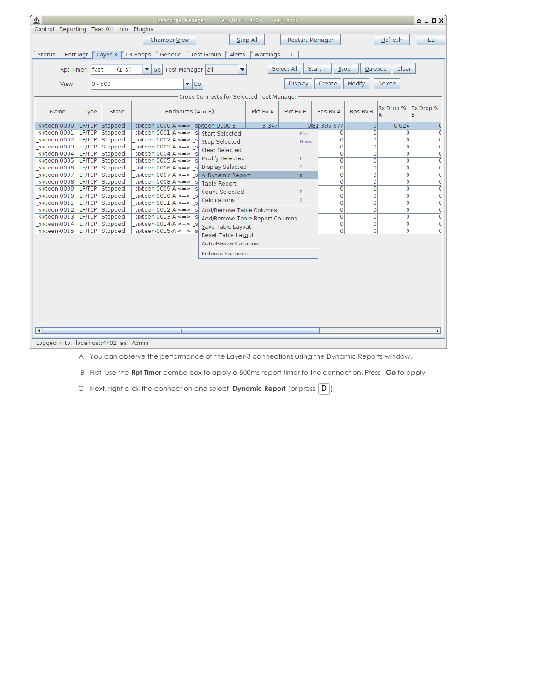| $\bullet$                                                                                                                              | <b>LANforge Manager</b><br>Version(5.4.2)<br>+cli-sock                                                                                           | $\triangle$ $ \Box$ $\times$ |  |
|----------------------------------------------------------------------------------------------------------------------------------------|--------------------------------------------------------------------------------------------------------------------------------------------------|------------------------------|--|
| Control Reporting Tear Off Info Plugins                                                                                                |                                                                                                                                                  |                              |  |
|                                                                                                                                        | Chamber View<br>Stop All<br><b>Restart Manager</b><br>Refresh                                                                                    | <b>HELP</b>                  |  |
|                                                                                                                                        |                                                                                                                                                  |                              |  |
| <b>Status</b><br>Port Mgr<br>Layer-3<br>L3 Endps<br>Generic<br><b>Test Group</b><br>Alerts<br>Warnings<br>$+$                          |                                                                                                                                                  |                              |  |
| Select All<br>Clear<br>$\overline{\phantom{a}}$<br>$Start +$<br>$Stop -$<br>Quiesce<br>Rpt Timer: fast<br>Go Test Manager all<br>(1 s) |                                                                                                                                                  |                              |  |
| View<br>0 - 500                                                                                                                        | Modify<br>$\overline{\phantom{a}}$ Go<br><b>Display</b><br>Create<br>Delete                                                                      |                              |  |
| Cross Connects for Selected Test Manager                                                                                               |                                                                                                                                                  |                              |  |
| Name<br>State<br>Type                                                                                                                  | Rx Drop %<br>Endpoints $(A \leftrightarrow B)$<br><b>Bps Rx A</b><br><b>Bps Rx B</b><br>Pkt Rx A<br>Pkt Rx B<br>B                                | Rx Drop %                    |  |
| LF/TCP<br>Stopped<br>sixteen-0000                                                                                                      | 081,395,677<br>0.624<br>sixteen-0000-A $\leq$ => sixteen-0000-B<br>3,347<br>$\circ$                                                              |                              |  |
| sixteen-0001<br>LF/TCP Stopped                                                                                                         | 0<br>sixteen-0001-A <= > s<br>0<br>$\Omega$<br><b>Start Selected</b><br>Plus                                                                     |                              |  |
| sixteen-0002<br>LF/TCP Stopped                                                                                                         | $\circ$<br>sixteen-0002-A $\leq$ > si<br>$\circ$<br>$\circ$<br><b>Stop Selected</b><br>Minus                                                     | C                            |  |
| Stopped<br>sixteen-0003<br>LF/TCP<br>sixteen-0004<br>LF/TCP<br>Stopped                                                                 | $\Omega$<br>$\Omega$<br>sixteen-0003-A $\leq$ = > s<br>$\Omega$<br>Clear Selected<br>sixteen-0004-A $\leq$ => s<br>$\circ$<br>$\circ$<br>$\circ$ | $\epsilon$<br>C              |  |
| sixteen-0005<br>LF/TCP Stopped                                                                                                         | Modify Selected<br>F<br>sixteen-0005-A <= > s<br>0<br>$\mathbf{O}$<br>$\Omega$                                                                   | C                            |  |
| LF/TCP<br>Stopped<br>sixteen-0006                                                                                                      | Display Selected<br>x<br>sixteen-0006-A $\leq$ $\geq$ s<br>$\circ$<br>$\circ$<br>$\circ$                                                         | C                            |  |
| LF/TCP<br>Stopped<br>sixteen-0007                                                                                                      | sixteen-0007-A <= > s<br>0<br>0<br>0<br>∿ Dynamic Report<br>D                                                                                    | $\overline{C}$               |  |
| LF/TCP Stopped<br>sixteen-0008                                                                                                         | 0<br>0<br>0<br>sixteen-0008-A $\leq$ > si<br><b>Table Report</b><br>T                                                                            | $\epsilon$                   |  |
| sixteen-0009<br>LF/TCP Stopped                                                                                                         | sixteen-0009-A <= > s<br>$\overline{0}$<br>$\overline{0}$<br>0<br>Count Selected<br>E                                                            | C                            |  |
| sixteen-0010<br>LF/TCP Stopped                                                                                                         | $\overline{0}$<br>sixteen-0010-A $\lt=\gt$<br>$\circ$<br>$\circ$<br>Calculations<br>Ċ                                                            | C                            |  |
| sixteen-0011<br>LF/TCP<br>Stopped                                                                                                      | $\Omega$<br>$\circ$<br>$\circ$<br>sixteen-0011-A $\lt =$                                                                                         | $\mathfrak{c}$               |  |
| sixteen-0012<br>LF/TCP<br>Stopped                                                                                                      | $\overline{0}$<br>$\circ$<br>$\overline{0}$<br>sixteen-0012-A $\leq$ > s<br>Add/Remove Table Columns                                             | $\overline{C}$               |  |
| sixteen-0013<br>LF/TCP<br>Stopped<br>sixteen-0014<br>LF/TCP<br>Stopped                                                                 | sixteen-0013-A $\leq$ > s<br>0<br>$\circ$<br>$\circ$<br>Add/Remove Table Report Columns<br>sixteen-0014-A $\leq$ > s<br>0<br>0<br>0              | C<br>C                       |  |
| sixteen-0015<br>LF/TCP<br>Stopped                                                                                                      | Save Table Layout<br>$\overline{0}$<br>o<br>$\circ$<br>sixteen-0015-A $\leq$ => s                                                                |                              |  |
|                                                                                                                                        | Reset Table Layout                                                                                                                               |                              |  |
|                                                                                                                                        | Auto-Resize Columns                                                                                                                              |                              |  |
|                                                                                                                                        | <b>Enforce Fairness</b>                                                                                                                          |                              |  |
|                                                                                                                                        |                                                                                                                                                  |                              |  |
|                                                                                                                                        |                                                                                                                                                  |                              |  |
|                                                                                                                                        |                                                                                                                                                  |                              |  |
|                                                                                                                                        |                                                                                                                                                  |                              |  |
|                                                                                                                                        |                                                                                                                                                  |                              |  |
|                                                                                                                                        |                                                                                                                                                  |                              |  |
|                                                                                                                                        |                                                                                                                                                  |                              |  |
|                                                                                                                                        |                                                                                                                                                  |                              |  |
|                                                                                                                                        |                                                                                                                                                  |                              |  |
| $\blacktriangleleft$                                                                                                                   | W.                                                                                                                                               | $\blacktriangleright$        |  |
| Logged in to: localhost: 4402 as: Admin                                                                                                |                                                                                                                                                  |                              |  |

A. You can observe the performance of the Layer-3 connections using the Dynamic Reports window.

B. First, use the **Rpt Timer** combo box to apply a 500ms report timer to the connection. Press **Go** to apply

C. Next, right click the connection and select **Dynamic Report** (or press  $\boxed{D}$ )